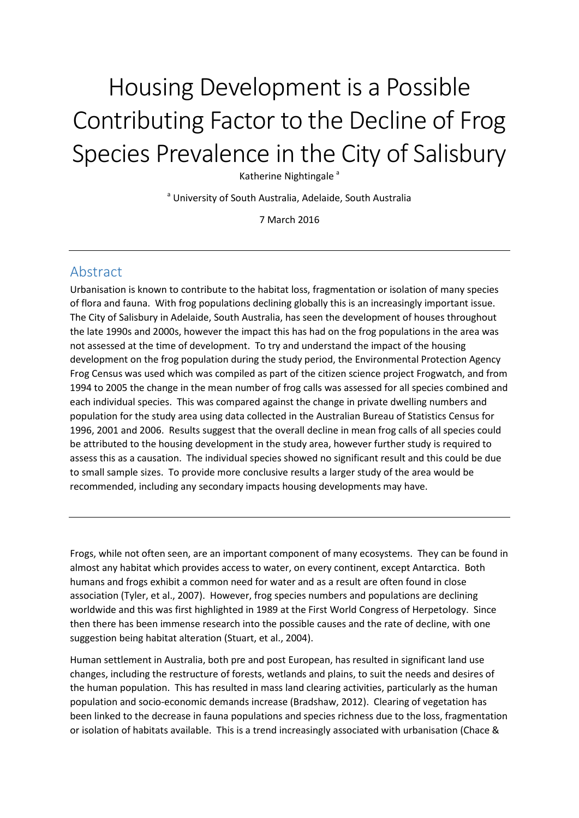# Housing Development is a Possible Contributing Factor to the Decline of Frog Species Prevalence in the City of Salisbury

Katherine Nightingale<sup>a</sup>

<sup>a</sup> University of South Australia, Adelaide, South Australia

7 March 2016

## Abstract

Urbanisation is known to contribute to the habitat loss, fragmentation or isolation of many species of flora and fauna. With frog populations declining globally this is an increasingly important issue. The City of Salisbury in Adelaide, South Australia, has seen the development of houses throughout the late 1990s and 2000s, however the impact this has had on the frog populations in the area was not assessed at the time of development. To try and understand the impact of the housing development on the frog population during the study period, the Environmental Protection Agency Frog Census was used which was compiled as part of the citizen science project Frogwatch, and from 1994 to 2005 the change in the mean number of frog calls was assessed for all species combined and each individual species. This was compared against the change in private dwelling numbers and population for the study area using data collected in the Australian Bureau of Statistics Census for 1996, 2001 and 2006. Results suggest that the overall decline in mean frog calls of all species could be attributed to the housing development in the study area, however further study is required to assess this as a causation. The individual species showed no significant result and this could be due to small sample sizes. To provide more conclusive results a larger study of the area would be recommended, including any secondary impacts housing developments may have.

Frogs, while not often seen, are an important component of many ecosystems. They can be found in almost any habitat which provides access to water, on every continent, except Antarctica. Both humans and frogs exhibit a common need for water and as a result are often found in close association (Tyler, et al., 2007). However, frog species numbers and populations are declining worldwide and this was first highlighted in 1989 at the First World Congress of Herpetology. Since then there has been immense research into the possible causes and the rate of decline, with one suggestion being habitat alteration (Stuart, et al., 2004).

Human settlement in Australia, both pre and post European, has resulted in significant land use changes, including the restructure of forests, wetlands and plains, to suit the needs and desires of the human population. This has resulted in mass land clearing activities, particularly as the human population and socio-economic demands increase (Bradshaw, 2012). Clearing of vegetation has been linked to the decrease in fauna populations and species richness due to the loss, fragmentation or isolation of habitats available. This is a trend increasingly associated with urbanisation (Chace &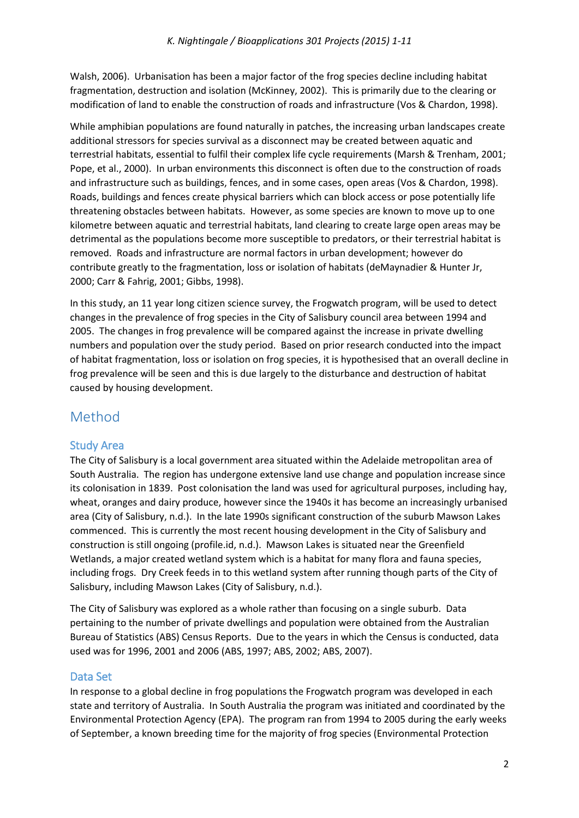Walsh, 2006). Urbanisation has been a major factor of the frog species decline including habitat fragmentation, destruction and isolation (McKinney, 2002). This is primarily due to the clearing or modification of land to enable the construction of roads and infrastructure (Vos & Chardon, 1998).

While amphibian populations are found naturally in patches, the increasing urban landscapes create additional stressors for species survival as a disconnect may be created between aquatic and terrestrial habitats, essential to fulfil their complex life cycle requirements (Marsh & Trenham, 2001; Pope, et al., 2000). In urban environments this disconnect is often due to the construction of roads and infrastructure such as buildings, fences, and in some cases, open areas (Vos & Chardon, 1998). Roads, buildings and fences create physical barriers which can block access or pose potentially life threatening obstacles between habitats. However, as some species are known to move up to one kilometre between aquatic and terrestrial habitats, land clearing to create large open areas may be detrimental as the populations become more susceptible to predators, or their terrestrial habitat is removed. Roads and infrastructure are normal factors in urban development; however do contribute greatly to the fragmentation, loss or isolation of habitats (deMaynadier & Hunter Jr, 2000; Carr & Fahrig, 2001; Gibbs, 1998).

In this study, an 11 year long citizen science survey, the Frogwatch program, will be used to detect changes in the prevalence of frog species in the City of Salisbury council area between 1994 and 2005. The changes in frog prevalence will be compared against the increase in private dwelling numbers and population over the study period. Based on prior research conducted into the impact of habitat fragmentation, loss or isolation on frog species, it is hypothesised that an overall decline in frog prevalence will be seen and this is due largely to the disturbance and destruction of habitat caused by housing development.

# Method

## Study Area

The City of Salisbury is a local government area situated within the Adelaide metropolitan area of South Australia. The region has undergone extensive land use change and population increase since its colonisation in 1839. Post colonisation the land was used for agricultural purposes, including hay, wheat, oranges and dairy produce, however since the 1940s it has become an increasingly urbanised area (City of Salisbury, n.d.). In the late 1990s significant construction of the suburb Mawson Lakes commenced. This is currently the most recent housing development in the City of Salisbury and construction is still ongoing (profile.id, n.d.). Mawson Lakes is situated near the Greenfield Wetlands, a major created wetland system which is a habitat for many flora and fauna species, including frogs. Dry Creek feeds in to this wetland system after running though parts of the City of Salisbury, including Mawson Lakes (City of Salisbury, n.d.).

The City of Salisbury was explored as a whole rather than focusing on a single suburb. Data pertaining to the number of private dwellings and population were obtained from the Australian Bureau of Statistics (ABS) Census Reports. Due to the years in which the Census is conducted, data used was for 1996, 2001 and 2006 (ABS, 1997; ABS, 2002; ABS, 2007).

#### Data Set

In response to a global decline in frog populations the Frogwatch program was developed in each state and territory of Australia. In South Australia the program was initiated and coordinated by the Environmental Protection Agency (EPA). The program ran from 1994 to 2005 during the early weeks of September, a known breeding time for the majority of frog species (Environmental Protection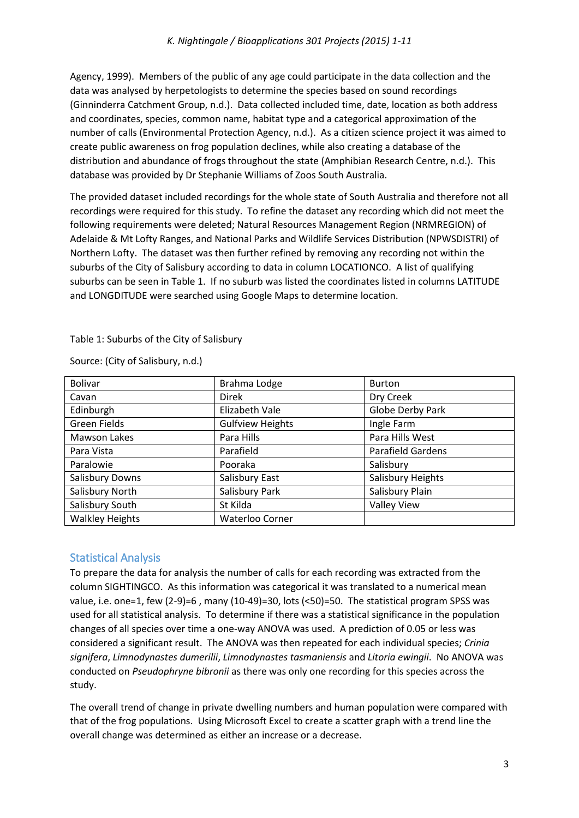Agency, 1999). Members of the public of any age could participate in the data collection and the data was analysed by herpetologists to determine the species based on sound recordings (Ginninderra Catchment Group, n.d.). Data collected included time, date, location as both address and coordinates, species, common name, habitat type and a categorical approximation of the number of calls (Environmental Protection Agency, n.d.). As a citizen science project it was aimed to create public awareness on frog population declines, while also creating a database of the distribution and abundance of frogs throughout the state (Amphibian Research Centre, n.d.). This database was provided by Dr Stephanie Williams of Zoos South Australia.

The provided dataset included recordings for the whole state of South Australia and therefore not all recordings were required for this study. To refine the dataset any recording which did not meet the following requirements were deleted; Natural Resources Management Region (NRMREGION) of Adelaide & Mt Lofty Ranges, and National Parks and Wildlife Services Distribution (NPWSDISTRI) of Northern Lofty. The dataset was then further refined by removing any recording not within the suburbs of the City of Salisbury according to data in column LOCATIONCO. A list of qualifying suburbs can be seen in Table 1. If no suburb was listed the coordinates listed in columns LATITUDE and LONGDITUDE were searched using Google Maps to determine location.

Table 1: Suburbs of the City of Salisbury

Source: (City of Salisbury, n.d.)

| <b>Bolivar</b>         | Brahma Lodge            | <b>Burton</b>      |  |
|------------------------|-------------------------|--------------------|--|
| Cavan                  | Direk                   | Dry Creek          |  |
| Edinburgh              | Elizabeth Vale          | Globe Derby Park   |  |
| Green Fields           | <b>Gulfview Heights</b> | Ingle Farm         |  |
| <b>Mawson Lakes</b>    | Para Hills              | Para Hills West    |  |
| Para Vista             | Parafield               | Parafield Gardens  |  |
| Paralowie              | Pooraka                 | Salisbury          |  |
| Salisbury Downs        | Salisbury East          | Salisbury Heights  |  |
| Salisbury North        | Salisbury Park          | Salisbury Plain    |  |
| Salisbury South        | St Kilda                | <b>Valley View</b> |  |
| <b>Walkley Heights</b> | Waterloo Corner         |                    |  |

## Statistical Analysis

To prepare the data for analysis the number of calls for each recording was extracted from the column SIGHTINGCO. As this information was categorical it was translated to a numerical mean value, i.e. one=1, few (2-9)=6 , many (10-49)=30, lots (<50)=50. The statistical program SPSS was used for all statistical analysis. To determine if there was a statistical significance in the population changes of all species over time a one-way ANOVA was used. A prediction of 0.05 or less was considered a significant result. The ANOVA was then repeated for each individual species; *Crinia signifera*, *Limnodynastes dumerilii*, *Limnodynastes tasmaniensis* and *Litoria ewingii*. No ANOVA was conducted on *Pseudophryne bibronii* as there was only one recording for this species across the study.

The overall trend of change in private dwelling numbers and human population were compared with that of the frog populations. Using Microsoft Excel to create a scatter graph with a trend line the overall change was determined as either an increase or a decrease.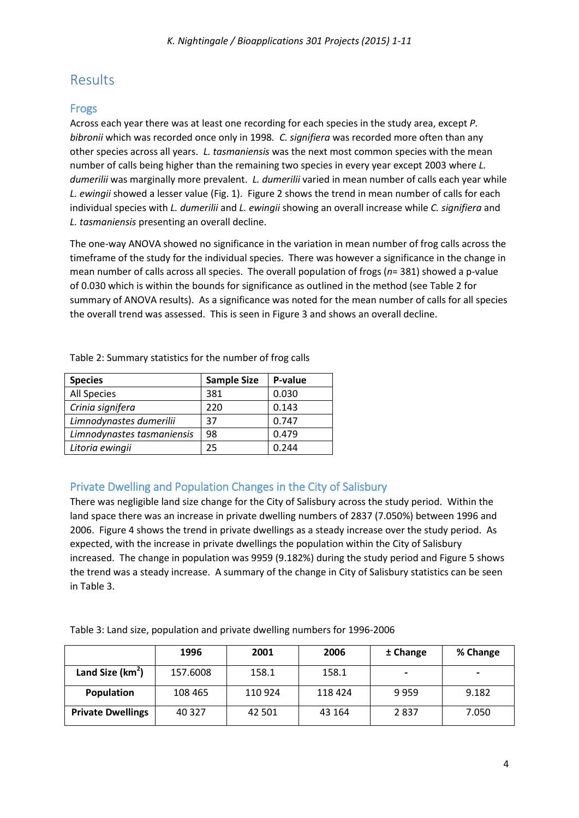# Results

#### Frogs

Across each year there was at least one recording for each species in the study area, except *P. bibronii* which was recorded once only in 1998*. C. signifiera* was recorded more often than any other species across all years. *L. tasmaniensis* was the next most common species with the mean number of calls being higher than the remaining two species in every year except 2003 where *L. dumerilii* was marginally more prevalent. *L. dumerilii* varied in mean number of calls each year while *L. ewingii* showed a lesser value (Fig. 1). Figure 2 shows the trend in mean number of calls for each individual species with *L. dumerilii* and *L. ewingii* showing an overall increase while *C. signifiera* and *L. tasmaniensis* presenting an overall decline.

The one-way ANOVA showed no significance in the variation in mean number of frog calls across the timeframe of the study for the individual species. There was however a significance in the change in mean number of calls across all species. The overall population of frogs (*n*= 381) showed a p-value of 0.030 which is within the bounds for significance as outlined in the method (see Table 2 for summary of ANOVA results). As a significance was noted for the mean number of calls for all species the overall trend was assessed. This is seen in Figure 3 and shows an overall decline.

| <b>Species</b>             | <b>Sample Size</b> | P-value |
|----------------------------|--------------------|---------|
| All Species                | 381                | 0.030   |
| Crinia signifera           | 220                | 0.143   |
| Limnodynastes dumerilii    | 37                 | 0.747   |
| Limnodynastes tasmaniensis | 98                 | 0.479   |
| Litoria ewingii            | 25                 | 0.244   |

Table 2: Summary statistics for the number of frog calls

## Private Dwelling and Population Changes in the City of Salisbury

There was negligible land size change for the City of Salisbury across the study period. Within the land space there was an increase in private dwelling numbers of 2837 (7.050%) between 1996 and 2006. Figure 4 shows the trend in private dwellings as a steady increase over the study period. As expected, with the increase in private dwellings the population within the City of Salisbury increased. The change in population was 9959 (9.182%) during the study period and Figure 5 shows the trend was a steady increase. A summary of the change in City of Salisbury statistics can be seen in Table 3.

Table 3: Land size, population and private dwelling numbers for 1996-2006

|                              | 1996     | 2001    | 2006    | ± Change | % Change |
|------------------------------|----------|---------|---------|----------|----------|
| Land Size (km <sup>2</sup> ) | 157.6008 | 158.1   | 158.1   |          |          |
| Population                   | 108 465  | 110 924 | 118 424 | 9959     | 9.182    |
| <b>Private Dwellings</b>     | 40 3 27  | 42 501  | 43 164  | 2837     | 7.050    |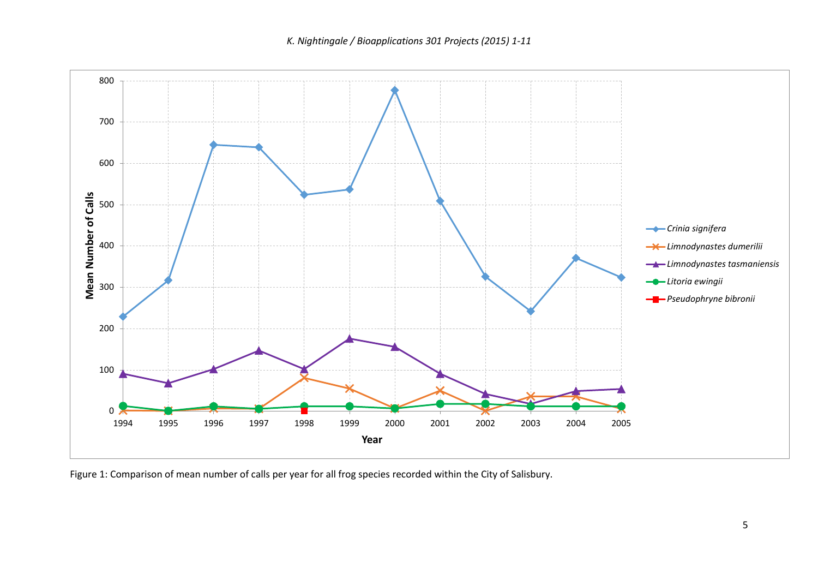*K. Nightingale / Bioapplications 301 Projects (2015) 1-11*



Figure 1: Comparison of mean number of calls per year for all frog species recorded within the City of Salisbury.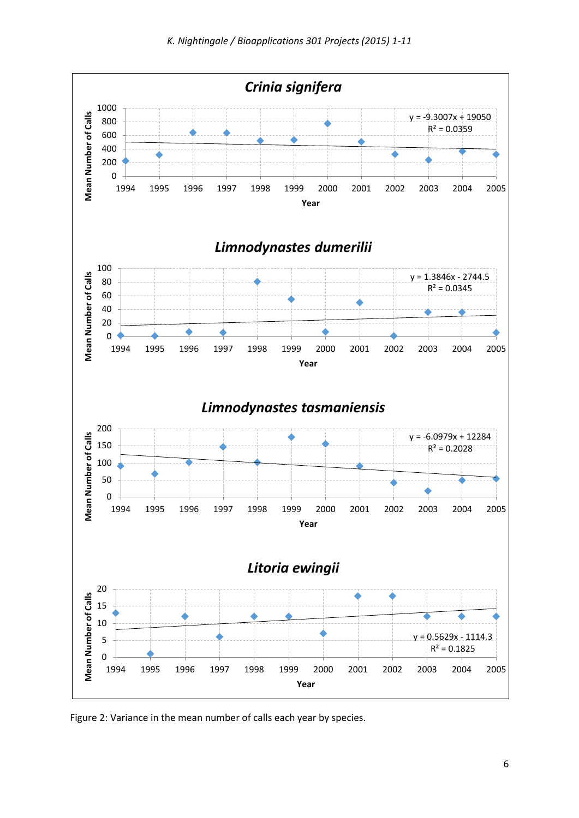

Figure 2: Variance in the mean number of calls each year by species.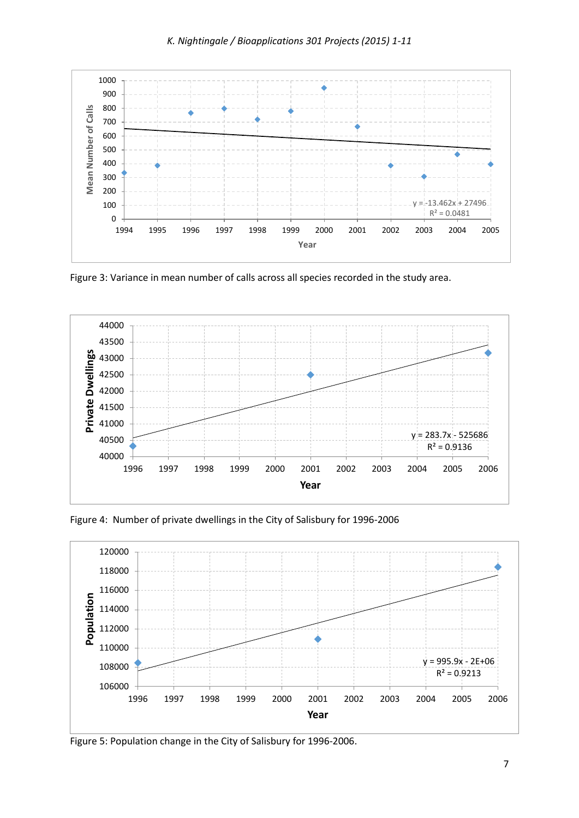

Figure 3: Variance in mean number of calls across all species recorded in the study area.



Figure 4: Number of private dwellings in the City of Salisbury for 1996-2006



Figure 5: Population change in the City of Salisbury for 1996-2006.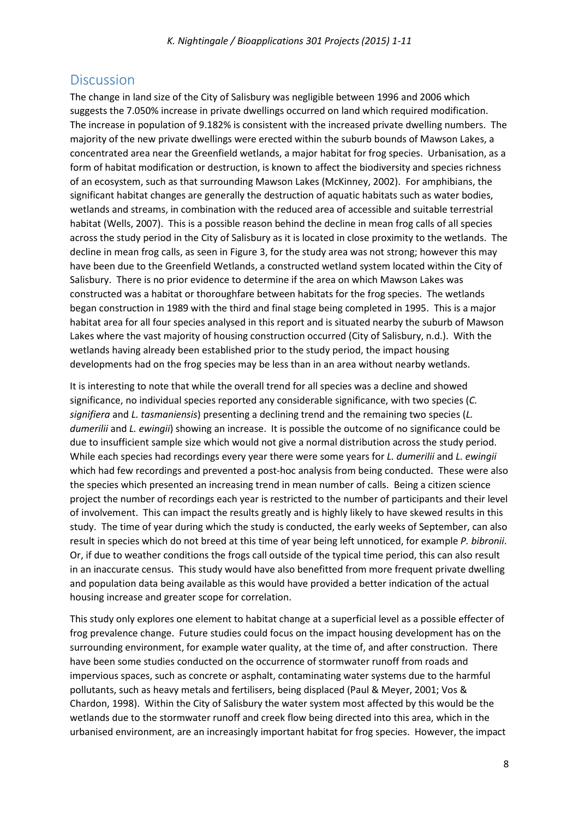## **Discussion**

The change in land size of the City of Salisbury was negligible between 1996 and 2006 which suggests the 7.050% increase in private dwellings occurred on land which required modification. The increase in population of 9.182% is consistent with the increased private dwelling numbers. The majority of the new private dwellings were erected within the suburb bounds of Mawson Lakes, a concentrated area near the Greenfield wetlands, a major habitat for frog species. Urbanisation, as a form of habitat modification or destruction, is known to affect the biodiversity and species richness of an ecosystem, such as that surrounding Mawson Lakes (McKinney, 2002). For amphibians, the significant habitat changes are generally the destruction of aquatic habitats such as water bodies, wetlands and streams, in combination with the reduced area of accessible and suitable terrestrial habitat (Wells, 2007). This is a possible reason behind the decline in mean frog calls of all species across the study period in the City of Salisbury as it is located in close proximity to the wetlands. The decline in mean frog calls, as seen in Figure 3, for the study area was not strong; however this may have been due to the Greenfield Wetlands, a constructed wetland system located within the City of Salisbury. There is no prior evidence to determine if the area on which Mawson Lakes was constructed was a habitat or thoroughfare between habitats for the frog species. The wetlands began construction in 1989 with the third and final stage being completed in 1995. This is a major habitat area for all four species analysed in this report and is situated nearby the suburb of Mawson Lakes where the vast majority of housing construction occurred (City of Salisbury, n.d.). With the wetlands having already been established prior to the study period, the impact housing developments had on the frog species may be less than in an area without nearby wetlands.

It is interesting to note that while the overall trend for all species was a decline and showed significance, no individual species reported any considerable significance, with two species (*C. signifiera* and *L. tasmaniensis*) presenting a declining trend and the remaining two species (*L. dumerilii* and *L. ewingii*) showing an increase. It is possible the outcome of no significance could be due to insufficient sample size which would not give a normal distribution across the study period. While each species had recordings every year there were some years for *L. dumerilii* and *L. ewingii* which had few recordings and prevented a post-hoc analysis from being conducted. These were also the species which presented an increasing trend in mean number of calls. Being a citizen science project the number of recordings each year is restricted to the number of participants and their level of involvement. This can impact the results greatly and is highly likely to have skewed results in this study. The time of year during which the study is conducted, the early weeks of September, can also result in species which do not breed at this time of year being left unnoticed, for example *P. bibronii*. Or, if due to weather conditions the frogs call outside of the typical time period, this can also result in an inaccurate census. This study would have also benefitted from more frequent private dwelling and population data being available as this would have provided a better indication of the actual housing increase and greater scope for correlation.

This study only explores one element to habitat change at a superficial level as a possible effecter of frog prevalence change. Future studies could focus on the impact housing development has on the surrounding environment, for example water quality, at the time of, and after construction. There have been some studies conducted on the occurrence of stormwater runoff from roads and impervious spaces, such as concrete or asphalt, contaminating water systems due to the harmful pollutants, such as heavy metals and fertilisers, being displaced (Paul & Meyer, 2001; Vos & Chardon, 1998). Within the City of Salisbury the water system most affected by this would be the wetlands due to the stormwater runoff and creek flow being directed into this area, which in the urbanised environment, are an increasingly important habitat for frog species. However, the impact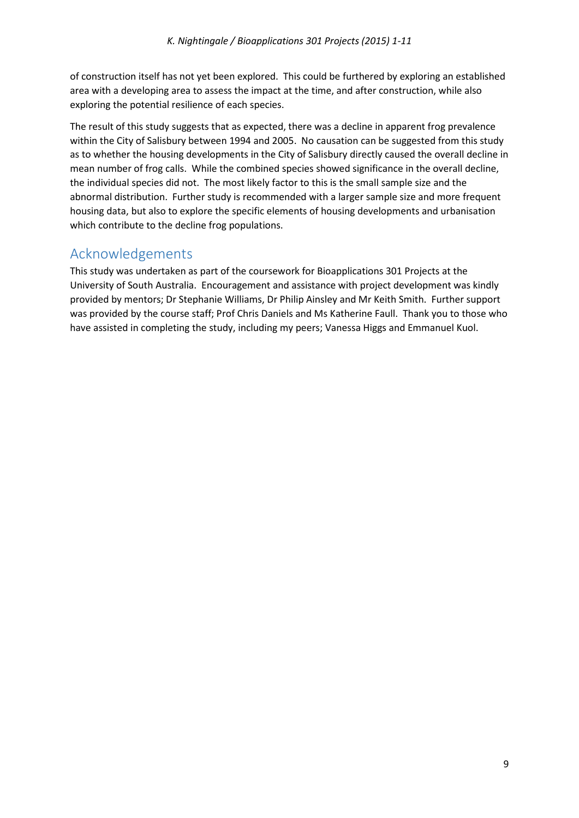of construction itself has not yet been explored. This could be furthered by exploring an established area with a developing area to assess the impact at the time, and after construction, while also exploring the potential resilience of each species.

The result of this study suggests that as expected, there was a decline in apparent frog prevalence within the City of Salisbury between 1994 and 2005. No causation can be suggested from this study as to whether the housing developments in the City of Salisbury directly caused the overall decline in mean number of frog calls. While the combined species showed significance in the overall decline, the individual species did not. The most likely factor to this is the small sample size and the abnormal distribution. Further study is recommended with a larger sample size and more frequent housing data, but also to explore the specific elements of housing developments and urbanisation which contribute to the decline frog populations.

## Acknowledgements

This study was undertaken as part of the coursework for Bioapplications 301 Projects at the University of South Australia. Encouragement and assistance with project development was kindly provided by mentors; Dr Stephanie Williams, Dr Philip Ainsley and Mr Keith Smith. Further support was provided by the course staff; Prof Chris Daniels and Ms Katherine Faull. Thank you to those who have assisted in completing the study, including my peers; Vanessa Higgs and Emmanuel Kuol.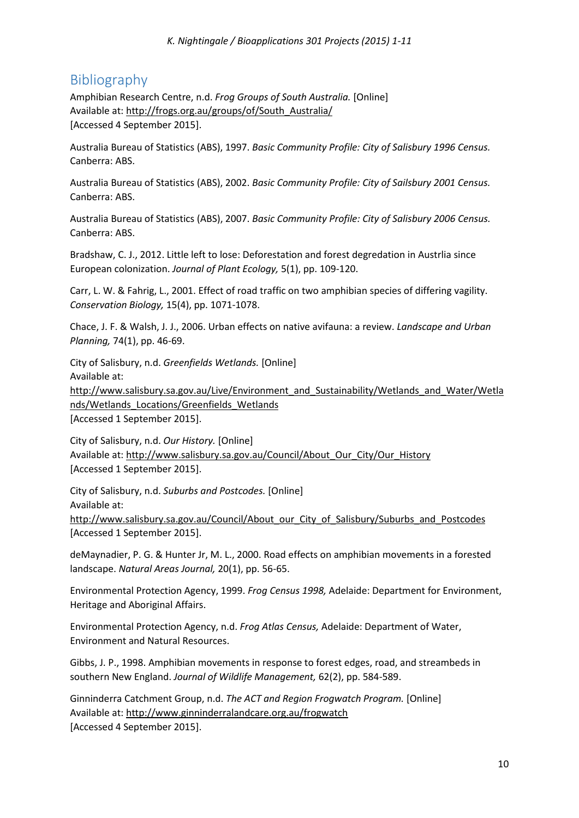## Bibliography

Amphibian Research Centre, n.d. *Frog Groups of South Australia.* [Online] Available at: http://frogs.org.au/groups/of/South\_Australia/ [Accessed 4 September 2015].

Australia Bureau of Statistics (ABS), 1997. *Basic Community Profile: City of Salisbury 1996 Census.*  Canberra: ABS.

Australia Bureau of Statistics (ABS), 2002. *Basic Community Profile: City of Sailsbury 2001 Census.*  Canberra: ABS.

Australia Bureau of Statistics (ABS), 2007. *Basic Community Profile: City of Salisbury 2006 Census.*  Canberra: ABS.

Bradshaw, C. J., 2012. Little left to lose: Deforestation and forest degredation in Austrlia since European colonization. *Journal of Plant Ecology,* 5(1), pp. 109-120.

Carr, L. W. & Fahrig, L., 2001. Effect of road traffic on two amphibian species of differing vagility. *Conservation Biology,* 15(4), pp. 1071-1078.

Chace, J. F. & Walsh, J. J., 2006. Urban effects on native avifauna: a review. *Landscape and Urban Planning,* 74(1), pp. 46-69.

City of Salisbury, n.d. *Greenfields Wetlands.* [Online] Available at:

http://www.salisbury.sa.gov.au/Live/Environment\_and\_Sustainability/Wetlands\_and\_Water/Wetla nds/Wetlands Locations/Greenfields Wetlands

[Accessed 1 September 2015].

City of Salisbury, n.d. *Our History.* [Online] Available at: http://www.salisbury.sa.gov.au/Council/About\_Our\_City/Our\_History [Accessed 1 September 2015].

City of Salisbury, n.d. *Suburbs and Postcodes.* [Online] Available at: http://www.salisbury.sa.gov.au/Council/About\_our\_City\_of\_Salisbury/Suburbs\_and\_Postcodes [Accessed 1 September 2015].

deMaynadier, P. G. & Hunter Jr, M. L., 2000. Road effects on amphibian movements in a forested landscape. *Natural Areas Journal,* 20(1), pp. 56-65.

Environmental Protection Agency, 1999. *Frog Census 1998,* Adelaide: Department for Environment, Heritage and Aboriginal Affairs.

Environmental Protection Agency, n.d. *Frog Atlas Census,* Adelaide: Department of Water, Environment and Natural Resources.

Gibbs, J. P., 1998. Amphibian movements in response to forest edges, road, and streambeds in southern New England. *Journal of Wildlife Management,* 62(2), pp. 584-589.

Ginninderra Catchment Group, n.d. *The ACT and Region Frogwatch Program.* [Online] Available at: http://www.ginninderralandcare.org.au/frogwatch [Accessed 4 September 2015].